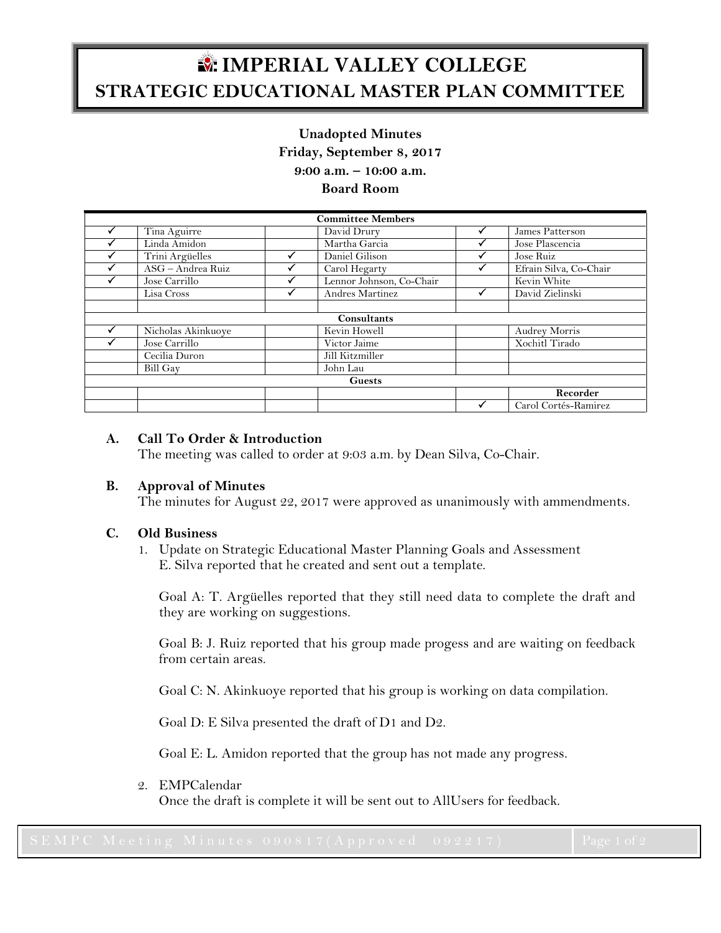# **IMPERIAL VALLEY COLLEGE STRATEGIC EDUCATIONAL MASTER PLAN COMMITTEE**

## **Unadopted Minutes Friday, September 8, 2017 9:00 a.m. – 10:00 a.m.**

## **Board Room**

| <b>Committee Members</b> |                    |  |                          |   |                        |
|--------------------------|--------------------|--|--------------------------|---|------------------------|
|                          | Tina Aguirre       |  | David Drury              |   | James Patterson        |
|                          | Linda Amidon       |  | Martha Garcia            |   | Jose Plascencia        |
|                          | Trini Argüelles    |  | Daniel Gilison           |   | Jose Ruiz              |
|                          | ASG - Andrea Ruiz  |  | Carol Hegarty            |   | Efrain Silva, Co-Chair |
|                          | Jose Carrillo      |  | Lennor Johnson, Co-Chair |   | Kevin White            |
|                          | Lisa Cross         |  | Andres Martinez          | v | David Zielinski        |
|                          |                    |  |                          |   |                        |
| Consultants              |                    |  |                          |   |                        |
|                          | Nicholas Akinkuoye |  | Kevin Howell             |   | Audrey Morris          |
|                          | Jose Carrillo      |  | Victor Jaime             |   | Xochitl Tirado         |
|                          | Cecilia Duron      |  | Jill Kitzmiller          |   |                        |
|                          | <b>Bill Gay</b>    |  | John Lau                 |   |                        |
| <b>Guests</b>            |                    |  |                          |   |                        |
|                          |                    |  |                          |   | Recorder               |
|                          |                    |  |                          | ✓ | Carol Cortés-Ramirez   |

# **A. Call To Order & Introduction**

The meeting was called to order at 9:03 a.m. by Dean Silva, Co-Chair.

#### **B. Approval of Minutes**

The minutes for August 22, 2017 were approved as unanimously with ammendments.

#### **C. Old Business**

1. Update on Strategic Educational Master Planning Goals and Assessment E. Silva reported that he created and sent out a template.

Goal A: T. Argüelles reported that they still need data to complete the draft and they are working on suggestions.

Goal B: J. Ruiz reported that his group made progess and are waiting on feedback from certain areas.

Goal C: N. Akinkuoye reported that his group is working on data compilation.

Goal D: E Silva presented the draft of D1 and D2.

Goal E: L. Amidon reported that the group has not made any progress.

#### 2. EMPCalendar

Once the draft is complete it will be sent out to AllUsers for feedback.